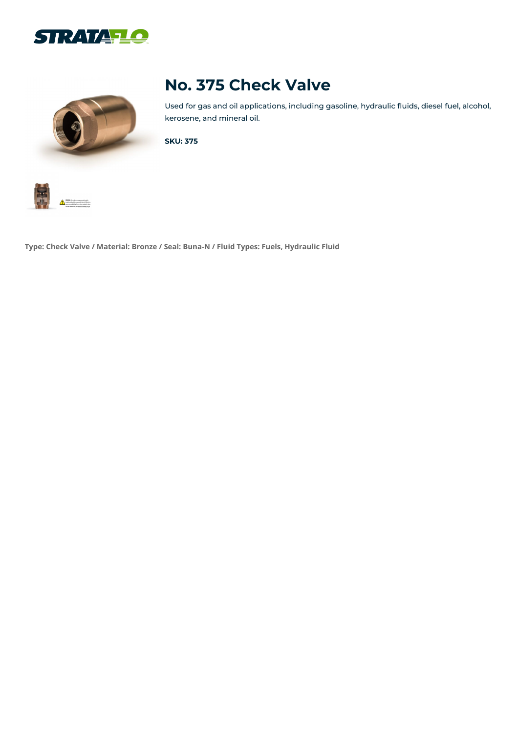



# **No. 375 Check Valve**

Used for gas and oil applications, including gasoline, hydraulic fluids, diesel fuel, alcohol, kerosene, and mineral oil.

**SKU: 375**



**Type: Check Valve / Material: Bronze / Seal: Buna-N / Fluid Types: Fuels, Hydraulic Fluid**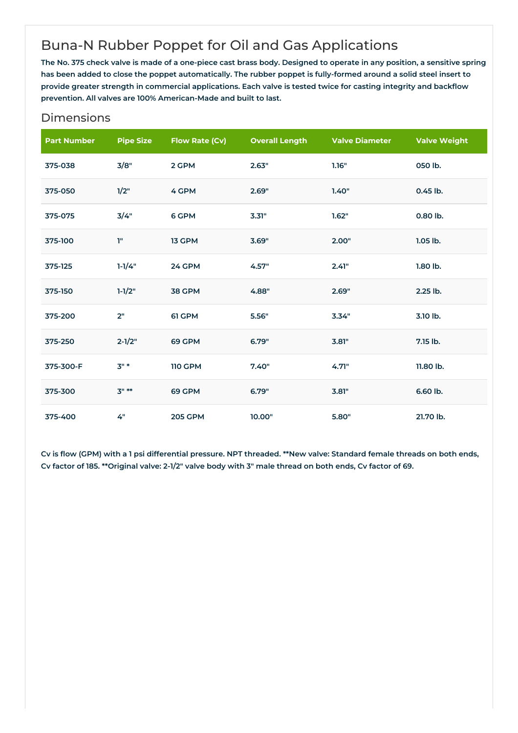## Buna-N Rubber Poppet for Oil and Gas Applications

The No. 375 check valve is made of a one-piece cast brass body. Designed to operate in any position, a sensitive spring has been added to close the poppet automatically. The rubber poppet is fully-formed around a solid steel insert to provide greater strength in commercial applications. Each valve is tested twice for casting integrity and backflow **prevention. All valves are 100% American-Made and built to last.**

| <b>Part Number</b> | <b>Pipe Size</b> | <b>Flow Rate (Cv)</b> | <b>Overall Length</b> | <b>Valve Diameter</b> | <b>Valve Weight</b> |
|--------------------|------------------|-----------------------|-----------------------|-----------------------|---------------------|
| 375-038            | 3/8"             | 2 GPM                 | 2.63"                 | 1.16"                 | 050 lb.             |
| 375-050            | 1/2"             | 4 GPM                 | 2.69"                 | 1.40"                 | 0.45 lb.            |
| 375-075            | 3/4"             | 6 GPM                 | 3.31"                 | 1.62"                 | 0.80 lb.            |
| 375-100            | T"               | 13 GPM                | 3.69"                 | 2.00"                 | $1.05$ lb.          |
| 375-125            | $1 - 1/4"$       | 24 GPM                | 4.57"                 | 2.41"                 | 1.80 lb.            |
| 375-150            | $1 - 1/2"$       | 38 GPM                | 4.88"                 | 2.69"                 | 2.25 lb.            |
| 375-200            | 2"               | 61 GPM                | 5.56"                 | 3.34"                 | 3.10 lb.            |
| 375-250            | $2 - 1/2"$       | 69 GPM                | 6.79"                 | 3.81"                 | 7.15 lb.            |
| 375-300-F          | $3"$ *           | <b>110 GPM</b>        | 7.40"                 | 4.71"                 | 11.80 lb.           |
| 375-300            | $3" **$          | 69 GPM                | 6.79"                 | 3.81"                 | 6.60 lb.            |
| 375-400            | 4"               | <b>205 GPM</b>        | 10.00"                | 5.80"                 | 21.70 lb.           |

#### Dimensions

Cv is flow (GPM) with a 1 psi differential pressure. NPT threaded. \*\*New valve: Standard female threads on both ends, Cv factor of 185. \*\* Original valve: 2-1/2" valve body with 3" male thread on both ends, Cv factor of 69.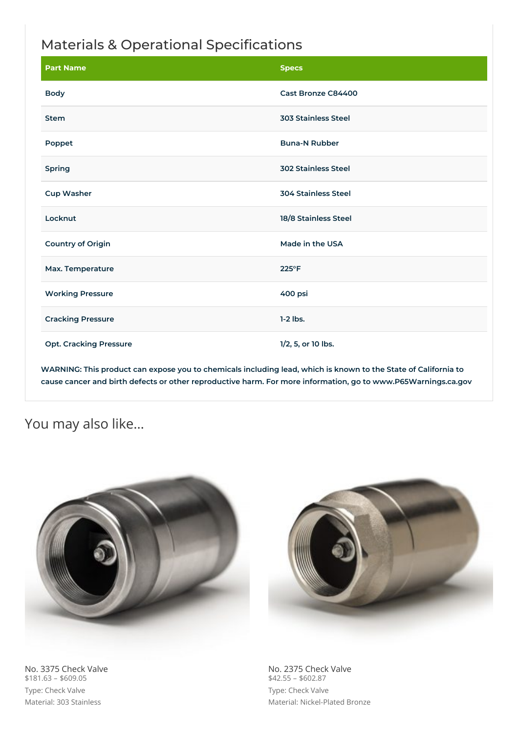### Materials & Operational Specifications

| <b>Part Name</b>              | <b>Specs</b>               |
|-------------------------------|----------------------------|
| <b>Body</b>                   | Cast Bronze C84400         |
| <b>Stem</b>                   | <b>303 Stainless Steel</b> |
| Poppet                        | <b>Buna-N Rubber</b>       |
| Spring                        | <b>302 Stainless Steel</b> |
| <b>Cup Washer</b>             | <b>304 Stainless Steel</b> |
| Locknut                       | 18/8 Stainless Steel       |
| <b>Country of Origin</b>      | Made in the USA            |
| Max. Temperature              | 225°F                      |
| <b>Working Pressure</b>       | 400 psi                    |
| <b>Cracking Pressure</b>      | $1-2$ lbs.                 |
| <b>Opt. Cracking Pressure</b> | 1/2, 5, or 10 lbs.         |

WARNING: This product can expose you to chemicals including lead, which is known to the State of California to **cause cancer and birth defects or other reproductive harm. For more information, go to www.P65Warnings.ca.gov**

### You may also like…



No. 3375 Check Valve  $$181.63 - $609.05$ Type: Check Valve Material: 303 Stainless

No. 2375 Check Valve  $$42.55 - $602.87$ Type: Check Valve Material: Nickel-Plated Bronze